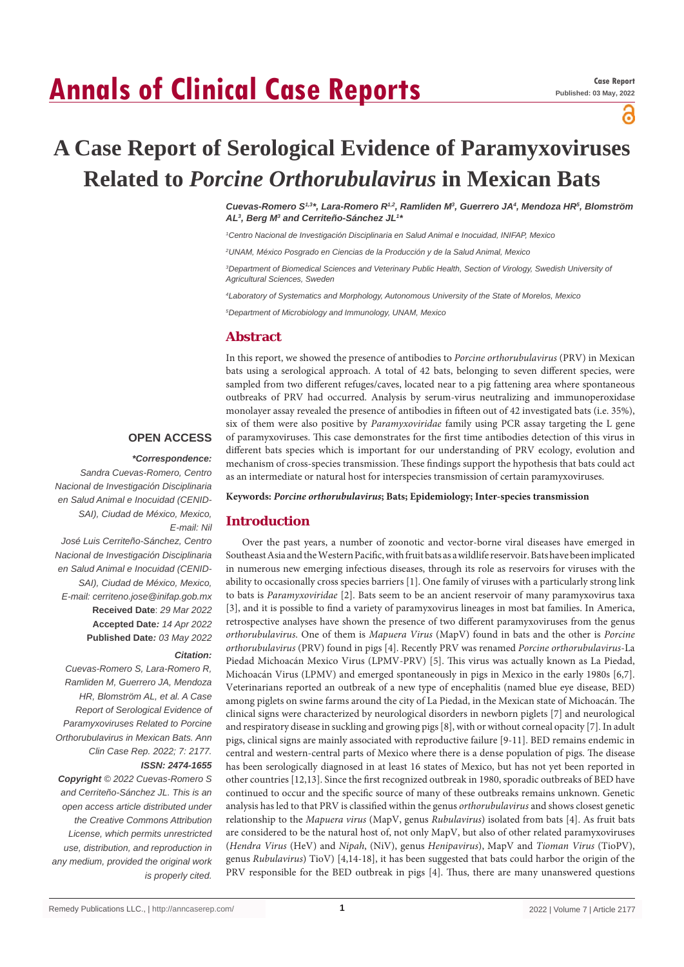# **Annals of Clinical Case Reports**

႕

# **A Case Report of Serological Evidence of Paramyxoviruses Related to** *Porcine Orthorubulavirus* **in Mexican Bats**

*Cuevas-Romero S1,3\*, Lara-Romero R1,2, Ramliden M3 , Guerrero JA4 , Mendoza HR5 , Blomström AL3 , Berg M3 and Cerriteño-Sánchez JL1 \**

*1 Centro Nacional de Investigación Disciplinaria en Salud Animal e Inocuidad, INIFAP, Mexico*

*2 UNAM, México Posgrado en Ciencias de la Producción y de la Salud Animal, Mexico*

*3 Department of Biomedical Sciences and Veterinary Public Health, Section of Virology, Swedish University of Agricultural Sciences, Sweden*

*4 Laboratory of Systematics and Morphology, Autonomous University of the State of Morelos, Mexico*

*5 Department of Microbiology and Immunology, UNAM, Mexico*

#### **Abstract**

In this report, we showed the presence of antibodies to *Porcine orthorubulavirus* (PRV) in Mexican bats using a serological approach. A total of 42 bats, belonging to seven different species, were sampled from two different refuges/caves, located near to a pig fattening area where spontaneous outbreaks of PRV had occurred. Analysis by serum-virus neutralizing and immunoperoxidase monolayer assay revealed the presence of antibodies in fifteen out of 42 investigated bats (i.e. 35%), six of them were also positive by *Paramyxoviridae* family using PCR assay targeting the L gene of paramyxoviruses. This case demonstrates for the first time antibodies detection of this virus in different bats species which is important for our understanding of PRV ecology, evolution and mechanism of cross-species transmission. These findings support the hypothesis that bats could act as an intermediate or natural host for interspecies transmission of certain paramyxoviruses.

**Keywords:** *Porcine orthorubulavirus***; Bats; Epidemiology; Inter-species transmission**

#### **Introduction**

Over the past years, a number of zoonotic and vector-borne viral diseases have emerged in Southeast Asia and the Western Pacific, with fruit bats as a wildlife reservoir. Bats have been implicated in numerous new emerging infectious diseases, through its role as reservoirs for viruses with the ability to occasionally cross species barriers [1]. One family of viruses with a particularly strong link to bats is *Paramyxoviridae* [2]. Bats seem to be an ancient reservoir of many paramyxovirus taxa [3], and it is possible to find a variety of paramyxovirus lineages in most bat families. In America, retrospective analyses have shown the presence of two different paramyxoviruses from the genus *orthorubulavirus*. One of them is *Mapuera Virus* (MapV) found in bats and the other is *Porcine orthorubulavirus* (PRV) found in pigs [4]. Recently PRV was renamed *Porcine orthorubulavirus*-La Piedad Michoacán Mexico Virus (LPMV-PRV) [5]. This virus was actually known as La Piedad, Michoacán Virus (LPMV) and emerged spontaneously in pigs in Mexico in the early 1980s [6,7]. Veterinarians reported an outbreak of a new type of encephalitis (named blue eye disease, BED) among piglets on swine farms around the city of La Piedad, in the Mexican state of Michoacán. The clinical signs were characterized by neurological disorders in newborn piglets [7] and neurological and respiratory disease in suckling and growing pigs [8], with or without corneal opacity [7]. In adult pigs, clinical signs are mainly associated with reproductive failure [9-11]. BED remains endemic in central and western-central parts of Mexico where there is a dense population of pigs. The disease has been serologically diagnosed in at least 16 states of Mexico, but has not yet been reported in other countries [12,13]. Since the first recognized outbreak in 1980, sporadic outbreaks of BED have continued to occur and the specific source of many of these outbreaks remains unknown. Genetic analysis has led to that PRV is classified within the genus *orthorubulavirus* and shows closest genetic relationship to the *Mapuera virus* (MapV, genus *Rubulavirus*) isolated from bats [4]. As fruit bats are considered to be the natural host of, not only MapV, but also of other related paramyxoviruses (*Hendra Virus* (HeV) and *Nipah*, (NiV), genus *Henipavirus*), MapV and *Tioman Virus* (TioPV), genus *Rubulavirus*) TioV) [4,14-18], it has been suggested that bats could harbor the origin of the PRV responsible for the BED outbreak in pigs [4]. Thus, there are many unanswered questions

# **OPEN ACCESS**

#### *\*Correspondence:*

*Sandra Cuevas-Romero, Centro Nacional de Investigación Disciplinaria en Salud Animal e Inocuidad (CENID-SAI), Ciudad de México, Mexico, E-mail: Nil*

*José Luis Cerriteño-Sánchez, Centro Nacional de Investigación Disciplinaria en Salud Animal e Inocuidad (CENID-SAI), Ciudad de México, Mexico, E-mail: cerriteno.jose@inifap.gob.mx* **Received Date**: *29 Mar 2022* **Accepted Date***: 14 Apr 2022* **Published Date***: 03 May 2022*

#### *Citation:*

*Cuevas-Romero S, Lara-Romero R, Ramliden M, Guerrero JA, Mendoza HR, Blomström AL, et al. A Case Report of Serological Evidence of Paramyxoviruses Related to Porcine Orthorubulavirus in Mexican Bats. Ann Clin Case Rep. 2022; 7: 2177. ISSN: 2474-1655*

*Copyright © 2022 Cuevas-Romero S and Cerriteño-Sánchez JL. This is an open access article distributed under the Creative Commons Attribution License, which permits unrestricted use, distribution, and reproduction in any medium, provided the original work is properly cited.*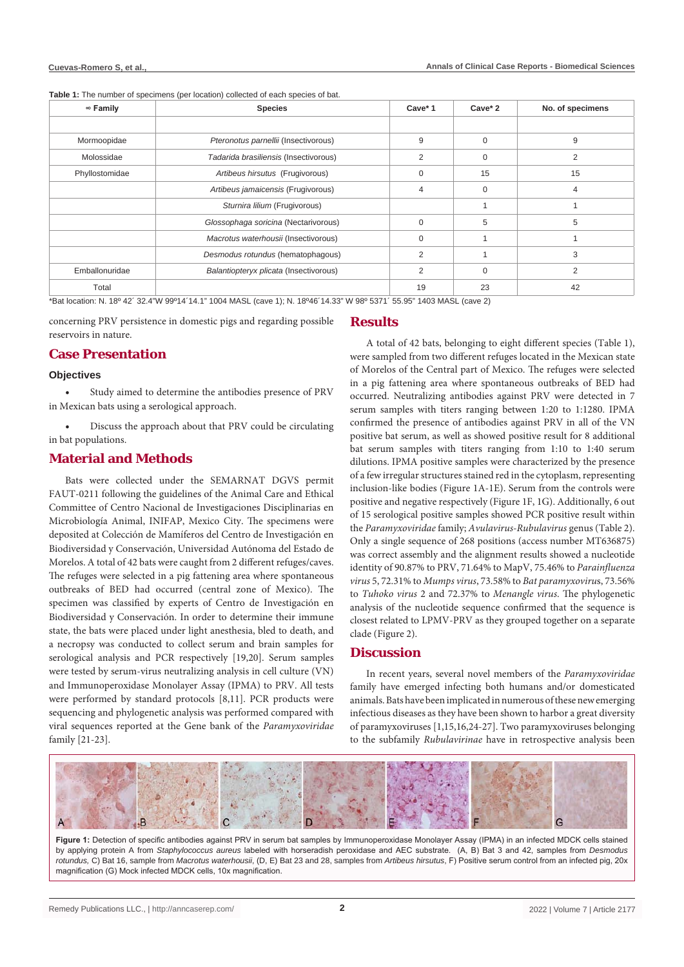**Table 1:** The number of specimens (per location) collected of each species of bat.

| $\infty$ Family | <b>Species</b>                                              | Cave* 2        | No. of specimens |                |  |  |
|-----------------|-------------------------------------------------------------|----------------|------------------|----------------|--|--|
|                 |                                                             |                |                  |                |  |  |
| Mormoopidae     | Pteronotus parnellii (Insectivorous)                        | 9              | $\Omega$         | 9              |  |  |
| Molossidae      | Tadarida brasiliensis (Insectivorous)<br>2<br>$\Omega$<br>2 |                |                  |                |  |  |
| Phyllostomidae  | Artibeus hirsutus (Frugivorous)                             | $\Omega$       | 15               | 15             |  |  |
|                 | Artibeus jamaicensis (Frugivorous)                          | $\overline{4}$ | $\Omega$         |                |  |  |
|                 | Sturnira lilium (Frugivorous)                               |                |                  |                |  |  |
|                 | Glossophaga soricina (Nectarivorous)                        | $\Omega$       | 5                | 5              |  |  |
|                 | Macrotus waterhousii (Insectivorous)                        | $\Omega$       |                  |                |  |  |
|                 | Desmodus rotundus (hematophagous)                           | 2              |                  | 3              |  |  |
| Emballonuridae  | Balantiopteryx plicata (Insectivorous)                      | 2              | $\Omega$         | $\overline{2}$ |  |  |
| Total           |                                                             | 19             | 23               | 42             |  |  |

\*Bat location: N. 18º 42´ 32.4"W 99º14´14.1" 1004 MASL (cave 1); N. 18º46´14.33" W 98º 5371´ 55.95" 1403 MASL (cave 2)

concerning PRV persistence in domestic pigs and regarding possible reservoirs in nature.

# **Case Presentation**

#### **Objectives**

Study aimed to determine the antibodies presence of PRV in Mexican bats using a serological approach.

Discuss the approach about that PRV could be circulating in bat populations.

# **Material and Methods**

Bats were collected under the SEMARNAT DGVS permit FAUT-0211 following the guidelines of the Animal Care and Ethical Committee of Centro Nacional de Investigaciones Disciplinarias en Microbiología Animal, INIFAP, Mexico City. The specimens were deposited at Colección de Mamíferos del Centro de Investigación en Biodiversidad y Conservación, Universidad Autónoma del Estado de Morelos. A total of 42 bats were caught from 2 different refuges/caves. The refuges were selected in a pig fattening area where spontaneous outbreaks of BED had occurred (central zone of Mexico). The specimen was classified by experts of Centro de Investigación en Biodiversidad y Conservación. In order to determine their immune state, the bats were placed under light anesthesia, bled to death, and a necropsy was conducted to collect serum and brain samples for serological analysis and PCR respectively [19,20]. Serum samples were tested by serum-virus neutralizing analysis in cell culture (VN) and Immunoperoxidase Monolayer Assay (IPMA) to PRV. All tests were performed by standard protocols [8,11]. PCR products were sequencing and phylogenetic analysis was performed compared with viral sequences reported at the Gene bank of the *Paramyxoviridae* family [21-23].

# **Results**

A total of 42 bats, belonging to eight different species (Table 1), were sampled from two different refuges located in the Mexican state of Morelos of the Central part of Mexico. The refuges were selected in a pig fattening area where spontaneous outbreaks of BED had occurred. Neutralizing antibodies against PRV were detected in 7 serum samples with titers ranging between 1:20 to 1:1280. IPMA confirmed the presence of antibodies against PRV in all of the VN positive bat serum, as well as showed positive result for 8 additional bat serum samples with titers ranging from 1:10 to 1:40 serum dilutions. IPMA positive samples were characterized by the presence of a few irregular structures stained red in the cytoplasm, representing inclusion-like bodies (Figure 1A-1E). Serum from the controls were positive and negative respectively (Figure 1F, 1G). Additionally, 6 out of 15 serological positive samples showed PCR positive result within the *Paramyxoviridae* family; *Avulavirus-Rubulavirus* genus (Table 2). Only a single sequence of 268 positions (access number MT636875) was correct assembly and the alignment results showed a nucleotide identity of 90.87% to PRV, 71.64% to MapV, 75.46% to *Parainfluenza virus* 5, 72.31% to *Mumps virus*, 73.58% to *Bat paramyxoviru*s, 73.56% to *Tuhoko virus* 2 and 72.37% to *Menangle virus*. The phylogenetic analysis of the nucleotide sequence confirmed that the sequence is closest related to LPMV-PRV as they grouped together on a separate clade (Figure 2).

# **Discussion**

In recent years, several novel members of the *Paramyxoviridae* family have emerged infecting both humans and/or domesticated animals. Bats have been implicated in numerous of these new emerging infectious diseases as they have been shown to harbor a great diversity of paramyxoviruses [1,15,16,24-27]. Two paramyxoviruses belonging to the subfamily *Rubulavirinae* have in retrospective analysis been



Figure 1: Detection of specific antibodies against PRV in serum bat samples by Immunoperoxidase Monolayer Assay (IPMA) in an infected MDCK cells stained by applying protein A from *Staphylococcus aureus* labeled with horseradish peroxidase and AEC substrate. (A, B) Bat 3 and 42, samples from *Desmodus rotundus,* C) Bat 16, sample from *Macrotus waterhousii*, (D, E) Bat 23 and 28, samples from *Artibeus hirsutus*, F) Positive serum control from an infected pig, 20x magnification (G) Mock infected MDCK cells, 10x magnification.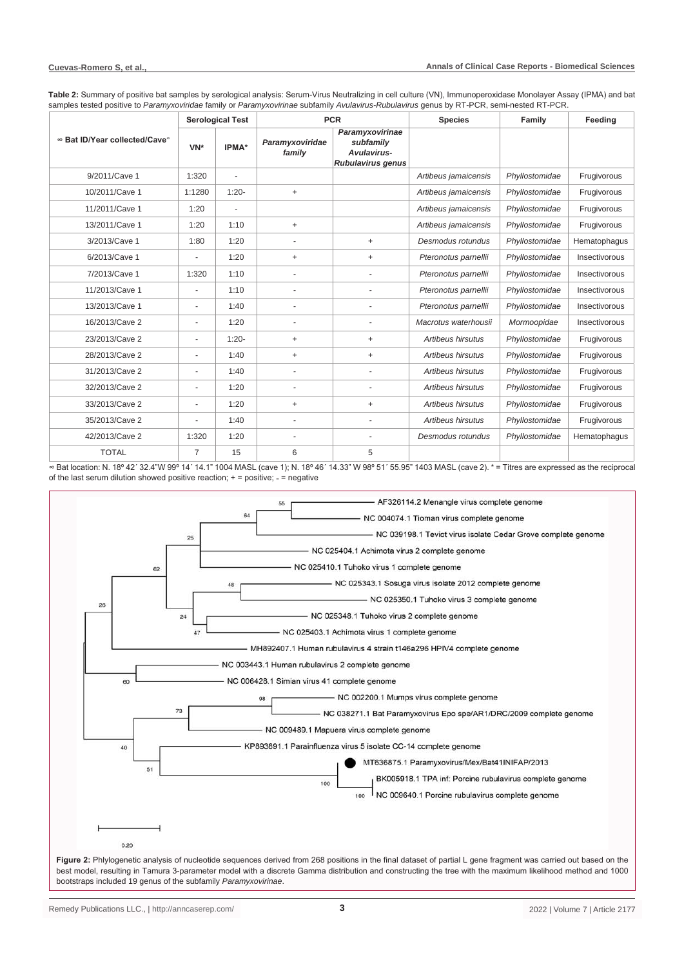**Table 2:** Summary of positive bat samples by serological analysis: Serum-Virus Neutralizing in cell culture (VN), Immunoperoxidase Monolayer Assay (IPMA) and bat samples tested positive to *Paramyxoviridae* family or *Paramyxovirinae* subfamily *Avulavirus-Rubulavirus* genus by RT-PCR, semi-nested RT-PCR.

|                               | <b>Serological Test</b>  |         | <b>PCR</b>                |                                                                  | <b>Species</b>       | Family         | Feedina       |
|-------------------------------|--------------------------|---------|---------------------------|------------------------------------------------------------------|----------------------|----------------|---------------|
| ∞ Bat ID/Year collected/Cave® | VN*                      | IPMA*   | Paramyxoviridae<br>family | Paramyxovirinae<br>subfamily<br>Avulavirus-<br>Rubulavirus genus |                      |                |               |
| 9/2011/Cave 1                 | 1:320                    |         |                           |                                                                  | Artibeus jamaicensis | Phyllostomidae | Frugivorous   |
| 10/2011/Cave 1                | 1:1280                   | $1:20-$ | $+$                       |                                                                  | Artibeus jamaicensis | Phyllostomidae | Frugivorous   |
| 11/2011/Cave 1                | 1:20                     | ٠       |                           |                                                                  | Artibeus jamaicensis | Phyllostomidae | Frugivorous   |
| 13/2011/Cave 1                | 1:20                     | 1:10    | $\ddot{}$                 |                                                                  | Artibeus jamaicensis | Phyllostomidae | Frugivorous   |
| 3/2013/Cave 1                 | 1:80                     | 1:20    |                           | $+$                                                              | Desmodus rotundus    | Phyllostomidae | Hematophagus  |
| 6/2013/Cave 1                 |                          | 1:20    | $+$                       | $+$                                                              | Pteronotus parnellii | Phyllostomidae | Insectivorous |
| 7/2013/Cave 1                 | 1:320                    | 1:10    |                           |                                                                  | Pteronotus parnellii | Phyllostomidae | Insectivorous |
| 11/2013/Cave 1                | $\overline{a}$           | 1:10    | ÷,                        | $\overline{a}$                                                   | Pteronotus parnellii | Phyllostomidae | Insectivorous |
| 13/2013/Cave 1                | $\overline{\phantom{a}}$ | 1:40    |                           |                                                                  | Pteronotus parnellii | Phyllostomidae | Insectivorous |
| 16/2013/Cave 2                | $\overline{\phantom{a}}$ | 1:20    | ٠                         |                                                                  | Macrotus waterhousii | Mormoopidae    | Insectivorous |
| 23/2013/Cave 2                | $\sim$                   | $1:20-$ | $+$                       | $^{+}$                                                           | Artibeus hirsutus    | Phyllostomidae | Frugivorous   |
| 28/2013/Cave 2                | $\overline{\phantom{a}}$ | 1:40    | $\ddot{}$                 | $+$                                                              | Artibeus hirsutus    | Phyllostomidae | Frugivorous   |
| 31/2013/Cave 2                | ä,                       | 1:40    |                           |                                                                  | Artibeus hirsutus    | Phyllostomidae | Frugivorous   |
| 32/2013/Cave 2                | ٠                        | 1:20    | -                         |                                                                  | Artibeus hirsutus    | Phyllostomidae | Frugivorous   |
| 33/2013/Cave 2                | $\blacksquare$           | 1:20    | $\ddot{}$                 | $\ddot{}$                                                        | Artibeus hirsutus    | Phyllostomidae | Frugivorous   |
| 35/2013/Cave 2                | $\overline{\phantom{a}}$ | 1:40    | $\overline{a}$            | $\overline{a}$                                                   | Artibeus hirsutus    | Phyllostomidae | Frugivorous   |
| 42/2013/Cave 2                | 1:320                    | 1:20    |                           |                                                                  | Desmodus rotundus    | Phyllostomidae | Hematophagus  |
| <b>TOTAL</b>                  | 7                        | 15      | 6                         | 5                                                                |                      |                |               |

∞ Bat location: N. 18º 42´ 32.4"W 99º 14´ 14.1" 1004 MASL (cave 1); N. 18º 46´ 14.33" W 98º 51´ 55.95" 1403 MASL (cave 2). \* = Titres are expressed as the reciprocal of the last serum dilution showed positive reaction;  $+$  = positive;  $-$  = negative

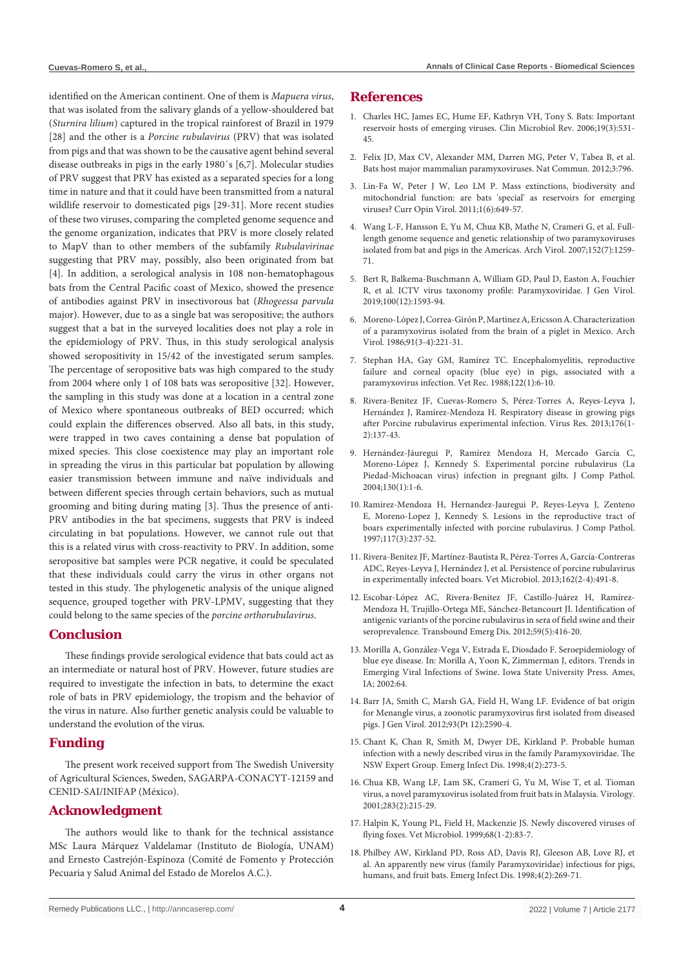identified on the American continent. One of them is *Mapuera virus*, that was isolated from the salivary glands of a yellow-shouldered bat (*Sturnira lilium*) captured in the tropical rainforest of Brazil in 1979 [28] and the other is a *Porcine rubulavirus* (PRV) that was isolated from pigs and that was shown to be the causative agent behind several disease outbreaks in pigs in the early 1980´s [6,7]. Molecular studies of PRV suggest that PRV has existed as a separated species for a long time in nature and that it could have been transmitted from a natural wildlife reservoir to domesticated pigs [29-31]. More recent studies of these two viruses, comparing the completed genome sequence and the genome organization, indicates that PRV is more closely related to MapV than to other members of the subfamily *Rubulavirinae* suggesting that PRV may, possibly, also been originated from bat [4]. In addition, a serological analysis in 108 non-hematophagous bats from the Central Pacific coast of Mexico, showed the presence of antibodies against PRV in insectivorous bat (*Rhogeessa parvula* major). However, due to as a single bat was seropositive; the authors suggest that a bat in the surveyed localities does not play a role in the epidemiology of PRV. Thus, in this study serological analysis showed seropositivity in 15/42 of the investigated serum samples. The percentage of seropositive bats was high compared to the study from 2004 where only 1 of 108 bats was seropositive [32]. However, the sampling in this study was done at a location in a central zone of Mexico where spontaneous outbreaks of BED occurred; which could explain the differences observed. Also all bats, in this study, were trapped in two caves containing a dense bat population of mixed species. This close coexistence may play an important role in spreading the virus in this particular bat population by allowing easier transmission between immune and naïve individuals and between different species through certain behaviors, such as mutual grooming and biting during mating [3]. Thus the presence of anti-PRV antibodies in the bat specimens, suggests that PRV is indeed circulating in bat populations. However, we cannot rule out that this is a related virus with cross-reactivity to PRV. In addition, some seropositive bat samples were PCR negative, it could be speculated that these individuals could carry the virus in other organs not tested in this study. The phylogenetic analysis of the unique aligned sequence, grouped together with PRV-LPMV, suggesting that they could belong to the same species of the *porcine orthorubulavirus*.

#### **Conclusion**

These findings provide serological evidence that bats could act as an intermediate or natural host of PRV. However, future studies are required to investigate the infection in bats, to determine the exact role of bats in PRV epidemiology, the tropism and the behavior of the virus in nature. Also further genetic analysis could be valuable to understand the evolution of the virus.

#### **Funding**

The present work received support from The Swedish University of Agricultural Sciences, Sweden, SAGARPA-CONACYT-12159 and CENID-SAI/INIFAP (México).

# **Acknowledgment**

The authors would like to thank for the technical assistance MSc Laura Márquez Valdelamar (Instituto de Biología, UNAM) and Ernesto Castrejón-Espinoza (Comité de Fomento y Protección Pecuaria y Salud Animal del Estado de Morelos A.C.).

#### **References**

- 1. [Charles HC, James EC, Hume EF, Kathryn VH, Tony S. Bats: Important](https://pubmed.ncbi.nlm.nih.gov/16847084/)  [reservoir hosts of emerging viruses. Clin Microbiol Rev. 2006;19\(3\):531-](https://pubmed.ncbi.nlm.nih.gov/16847084/) [45.](https://pubmed.ncbi.nlm.nih.gov/16847084/)
- 2. [Felix JD, Max CV, Alexander MM, Darren MG, Peter V, Tabea B, et al.](https://pubmed.ncbi.nlm.nih.gov/22531181/)  [Bats host major mammalian paramyxoviruses. Nat Commun. 2012;3:796.](https://pubmed.ncbi.nlm.nih.gov/22531181/)
- 3. [Lin-Fa W, Peter J W, Leo LM P. Mass extinctions, biodiversity and](https://www.sciencedirect.com/science/article/pii/S1879625711001325)  [mitochondrial function: are bats 'special' as reservoirs for emerging](https://www.sciencedirect.com/science/article/pii/S1879625711001325)  [viruses? Curr Opin Virol. 2011;1\(6\):649-57.](https://www.sciencedirect.com/science/article/pii/S1879625711001325)
- 4. [Wang L-F, Hansson E, Yu M, Chua KB, Mathe N, Crameri G, et al. Full](https://pubmed.ncbi.nlm.nih.gov/17385069/)[length genome sequence and genetic relationship of two paramyxoviruses](https://pubmed.ncbi.nlm.nih.gov/17385069/)  [isolated from bat and pigs in the Americas. Arch Virol. 2007;152\(7\):1259-](https://pubmed.ncbi.nlm.nih.gov/17385069/) [71.](https://pubmed.ncbi.nlm.nih.gov/17385069/)
- 5. [Bert R, Balkema-Buschmann A, William GD, Paul D, Easton A, Fouchier](https://pubmed.ncbi.nlm.nih.gov/31609197/)  [R, et al. ICTV virus taxonomy profile: Paramyxoviridae. J Gen Virol.](https://pubmed.ncbi.nlm.nih.gov/31609197/)  [2019;100\(12\):1593-94.](https://pubmed.ncbi.nlm.nih.gov/31609197/)
- 6. [Moreno-López J, Correa-Girón P, Martinez A, Ericsson A. Characterization](https://link.springer.com/article/10.1007/BF01314282)  [of a paramyxovirus isolated from the brain of a piglet in Mexico. Arch](https://link.springer.com/article/10.1007/BF01314282)  [Virol. 1986;91\(3-4\):221-31.](https://link.springer.com/article/10.1007/BF01314282)
- 7. [Stephan HA, Gay GM, Ramírez TC. Encephalomyelitis, reproductive](https://pubmed.ncbi.nlm.nih.gov/3363809/)  [failure and corneal opacity \(blue eye\) in pigs, associated with a](https://pubmed.ncbi.nlm.nih.gov/3363809/)  [paramyxovirus infection. Vet Rec. 1988;122\(1\):6-10.](https://pubmed.ncbi.nlm.nih.gov/3363809/)
- 8. [Rivera-Benitez JF, Cuevas-Romero S, Pérez-Torres A, Reyes-Leyva J,](https://pubmed.ncbi.nlm.nih.gov/23770154/)  [Hernández J, Ramírez-Mendoza H. Respiratory disease in growing pigs](https://pubmed.ncbi.nlm.nih.gov/23770154/)  [after Porcine rubulavirus experimental infection. Virus Res. 2013;176\(1-](https://pubmed.ncbi.nlm.nih.gov/23770154/) [2\):137-43.](https://pubmed.ncbi.nlm.nih.gov/23770154/)
- 9. [Hernández-Jáuregui P, Ramírez Mendoza H, Mercado García C,](https://pubmed.ncbi.nlm.nih.gov/14693118/)  [Moreno-López J, Kennedy S. Experimental porcine rubulavirus \(La](https://pubmed.ncbi.nlm.nih.gov/14693118/)  [Piedad-Michoacan virus\) infection in pregnant gilts. J Comp Pathol.](https://pubmed.ncbi.nlm.nih.gov/14693118/)  [2004;130\(1\):1-6.](https://pubmed.ncbi.nlm.nih.gov/14693118/)
- 10. [Ramirez-Mendoza H, Hernandez-Jauregui P, Reyes-Leyva J, Zenteno](https://pubmed.ncbi.nlm.nih.gov/9447484/)  [E, Moreno-Lopez J, Kennedy S. Lesions in the reproductive tract of](https://pubmed.ncbi.nlm.nih.gov/9447484/)  [boars experimentally infected with porcine rubulavirus. J Comp Pathol.](https://pubmed.ncbi.nlm.nih.gov/9447484/)  [1997;117\(3\):237-52.](https://pubmed.ncbi.nlm.nih.gov/9447484/)
- 11. [Rivera-Benitez JF, Martínez-Bautista R, Pérez-Torres A, García-Contreras](https://pubmed.ncbi.nlm.nih.gov/23201243/)  [ADC, Reyes-Leyva J, Hernández J, et al. Persistence of porcine rubulavirus](https://pubmed.ncbi.nlm.nih.gov/23201243/)  [in experimentally infected boars. Vet Microbiol. 2013;162\(2-4\):491-8.](https://pubmed.ncbi.nlm.nih.gov/23201243/)
- 12. [Escobar-López AC, Rivera-Benitez JF, Castillo-Juárez H, Ramírez-](https://pubmed.ncbi.nlm.nih.gov/22171991/)[Mendoza H, Trujillo-Ortega ME, Sánchez-Betancourt JI. Identification of](https://pubmed.ncbi.nlm.nih.gov/22171991/)  [antigenic variants of the porcine rubulavirus in sera of field swine and their](https://pubmed.ncbi.nlm.nih.gov/22171991/)  [seroprevalence. Transbound Emerg Dis. 2012;59\(5\):416-20.](https://pubmed.ncbi.nlm.nih.gov/22171991/)
- 13. Morilla A, González-Vega V, Estrada E, Diosdado F. Seroepidemiology of blue eye disease. In: Morilla A, Yoon K, Zimmerman J, editors. Trends in Emerging Viral Infections of Swine. Iowa State University Press. Ames, IA; 2002:64.
- 14. [Barr JA, Smith C, Marsh GA, Field H, Wang LF. Evidence of bat origin](https://pubmed.ncbi.nlm.nih.gov/22915696/)  [for Menangle virus, a zoonotic paramyxovirus first isolated from diseased](https://pubmed.ncbi.nlm.nih.gov/22915696/)  [pigs. J Gen Virol. 2012;93\(Pt 12\):2590-4.](https://pubmed.ncbi.nlm.nih.gov/22915696/)
- 15. [Chant K, Chan R, Smith M, Dwyer DE, Kirkland P. Probable human](https://pubmed.ncbi.nlm.nih.gov/9621198/)  [infection with a newly described virus in the family Paramyxoviridae. The](https://pubmed.ncbi.nlm.nih.gov/9621198/)  [NSW Expert Group. Emerg Infect Dis. 1998;4\(2\):273-5.](https://pubmed.ncbi.nlm.nih.gov/9621198/)
- 16. [Chua KB, Wang LF, Lam SK, Crameri G, Yu M, Wise T, et al. Tioman](https://pubmed.ncbi.nlm.nih.gov/11336547/)  [virus, a novel paramyxovirus isolated from fruit bats in Malaysia. Virology.](https://pubmed.ncbi.nlm.nih.gov/11336547/)  [2001;283\(2\):215-29.](https://pubmed.ncbi.nlm.nih.gov/11336547/)
- 17. [Halpin K, Young PL, Field H, Mackenzie JS. Newly discovered viruses of](https://pubmed.ncbi.nlm.nih.gov/10501164/)  [flying foxes. Vet Microbiol. 1999;68\(1-2\):83-7.](https://pubmed.ncbi.nlm.nih.gov/10501164/)
- 18. [Philbey AW, Kirkland PD, Ross AD, Davis RJ, Gleeson AB, Love RJ, et](https://pubmed.ncbi.nlm.nih.gov/9621197/)  [al. An apparently new virus \(family Paramyxoviridae\) infectious for pigs,](https://pubmed.ncbi.nlm.nih.gov/9621197/)  [humans, and fruit bats. Emerg Infect Dis. 1998;4\(2\):269-71.](https://pubmed.ncbi.nlm.nih.gov/9621197/)